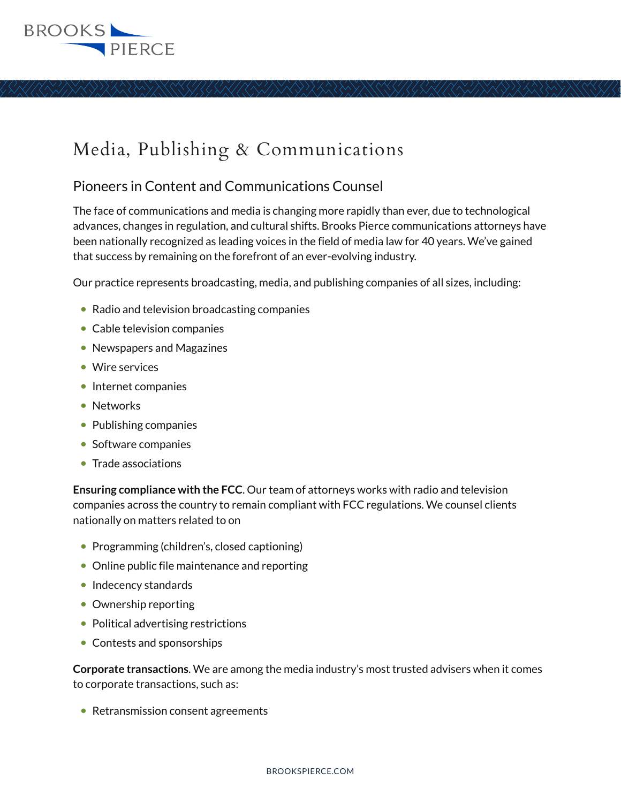## **BROOKS** PIERCE

# Media, Publishing & Communications

### Pioneers in Content and Communications Counsel

The face of communications and media is changing more rapidly than ever, due to technological advances, changes in regulation, and cultural shifts. Brooks Pierce communications attorneys have been nationally recognized as leading voices in the field of media law for 40 years. We've gained that success by remaining on the forefront of an ever-evolving industry.

Our practice represents broadcasting, media, and publishing companies of all sizes, including:

- Radio and television broadcasting companies
- Cable television companies
- Newspapers and Magazines
- Wire services
- Internet companies
- Networks
- Publishing companies
- Software companies
- Trade associations

**Ensuring compliance with the FCC**. Our team of attorneys works with radio and television companies across the country to remain compliant with FCC regulations. We counsel clients nationally on matters related to on

- Programming (children's, closed captioning)
- Online public file maintenance and reporting
- Indecency standards
- Ownership reporting
- Political advertising restrictions
- Contests and sponsorships

**Corporate transactions**. We are among the media industry's most trusted advisers when it comes to corporate transactions, such as:

● Retransmission consent agreements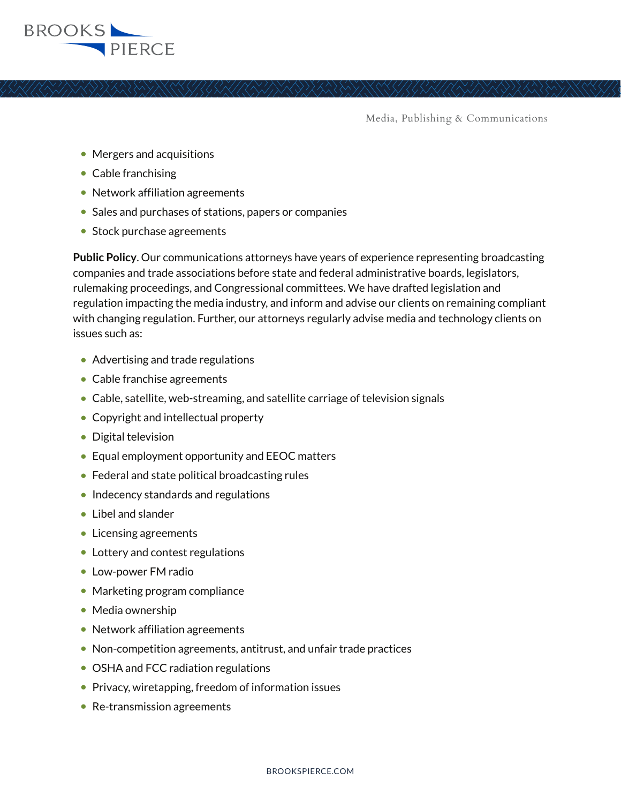

- Mergers and acquisitions
- Cable franchising
- Network affiliation agreements
- Sales and purchases of stations, papers or companies
- Stock purchase agreements

**Public Policy**. Our communications attorneys have years of experience representing broadcasting companies and trade associations before state and federal administrative boards, legislators, rulemaking proceedings, and Congressional committees. We have drafted legislation and regulation impacting the media industry, and inform and advise our clients on remaining compliant with changing regulation. Further, our attorneys regularly advise media and technology clients on issues such as:

- Advertising and trade regulations
- Cable franchise agreements
- Cable, satellite, web-streaming, and satellite carriage of television signals
- Copyright and intellectual property
- Digital television
- Equal employment opportunity and EEOC matters
- Federal and state political broadcasting rules
- Indecency standards and regulations
- Libel and slander
- Licensing agreements
- Lottery and contest regulations
- Low-power FM radio
- Marketing program compliance
- Media ownership
- Network affiliation agreements
- Non-competition agreements, antitrust, and unfair trade practices
- OSHA and FCC radiation regulations
- Privacy, wiretapping, freedom of information issues
- Re-transmission agreements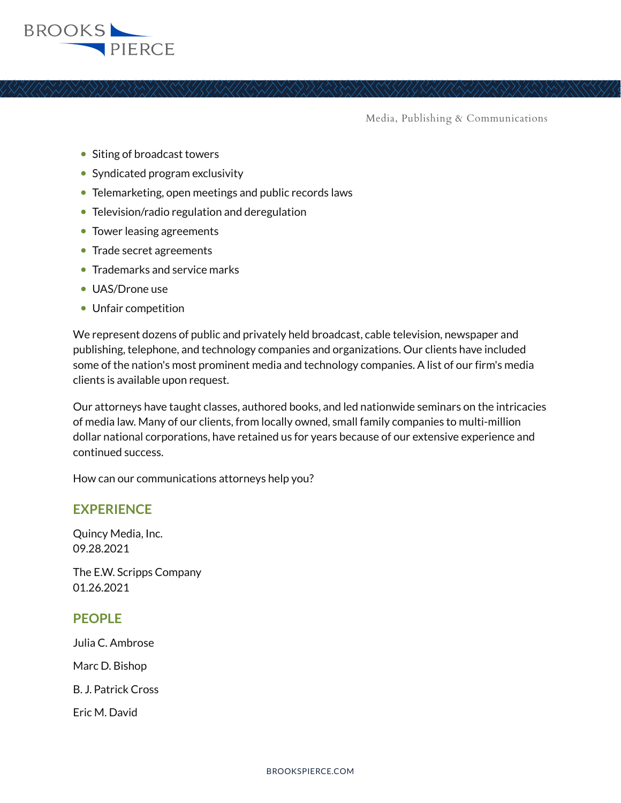

- Siting of broadcast towers
- Syndicated program exclusivity
- Telemarketing, open meetings and public records laws
- Television/radio regulation and deregulation
- Tower leasing agreements
- Trade secret agreements
- Trademarks and service marks
- UAS/Drone use
- Unfair competition

We represent dozens of public and privately held broadcast, cable television, newspaper and publishing, telephone, and technology companies and organizations. Our clients have included some of the nation's most prominent media and technology companies. A list of our firm's media clients is available upon request.

Our attorneys have taught classes, authored books, and led nationwide seminars on the intricacies of media law. Many of our clients, from locally owned, small family companies to multi-million dollar national corporations, have retained us for years because of our extensive experience and continued success.

How can our communications attorneys help you?

#### **EXPERIENCE**

Quincy Media, Inc. 09.28.2021

The E.W. Scripps Company 01.26.2021

#### **PEOPLE**

Julia C. Ambrose Marc D. Bishop B. J. Patrick Cross Eric M. David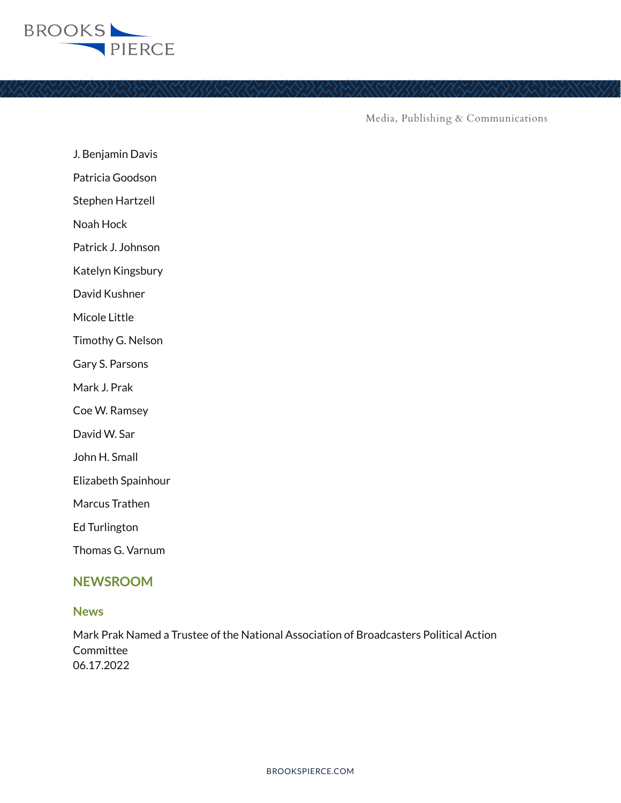

J. Benjamin Davis

Patricia Goodson

Stephen Hartzell

Noah Hock

Patrick J. Johnson

Katelyn Kingsbury

David Kushner

Micole Little

Timothy G. Nelson

Gary S. Parsons

Mark J. Prak

Coe W. Ramsey

David W. Sar

John H. Small

Elizabeth Spainhour

Marcus Trathen

Ed Turlington

Thomas G. Varnum

#### **NEWSROOM**

#### **News**

Mark Prak Named a Trustee of the National Association of Broadcasters Political Action Committee 06.17.2022